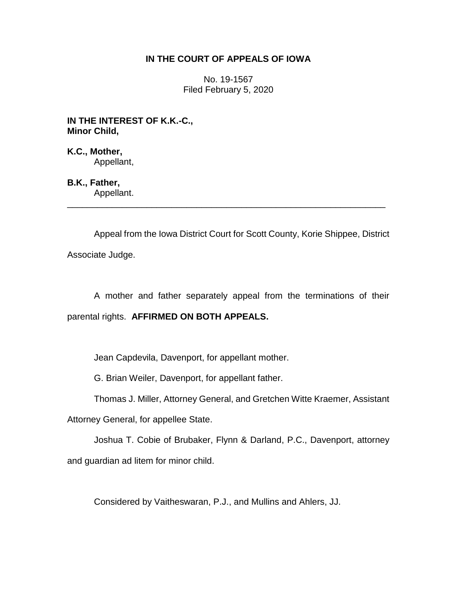## **IN THE COURT OF APPEALS OF IOWA**

No. 19-1567 Filed February 5, 2020

**IN THE INTEREST OF K.K.-C., Minor Child,**

**K.C., Mother,** Appellant,

**B.K., Father,** Appellant.

Appeal from the Iowa District Court for Scott County, Korie Shippee, District Associate Judge.

\_\_\_\_\_\_\_\_\_\_\_\_\_\_\_\_\_\_\_\_\_\_\_\_\_\_\_\_\_\_\_\_\_\_\_\_\_\_\_\_\_\_\_\_\_\_\_\_\_\_\_\_\_\_\_\_\_\_\_\_\_\_\_\_

A mother and father separately appeal from the terminations of their parental rights. **AFFIRMED ON BOTH APPEALS.**

Jean Capdevila, Davenport, for appellant mother.

G. Brian Weiler, Davenport, for appellant father.

Thomas J. Miller, Attorney General, and Gretchen Witte Kraemer, Assistant

Attorney General, for appellee State.

Joshua T. Cobie of Brubaker, Flynn & Darland, P.C., Davenport, attorney and guardian ad litem for minor child.

Considered by Vaitheswaran, P.J., and Mullins and Ahlers, JJ.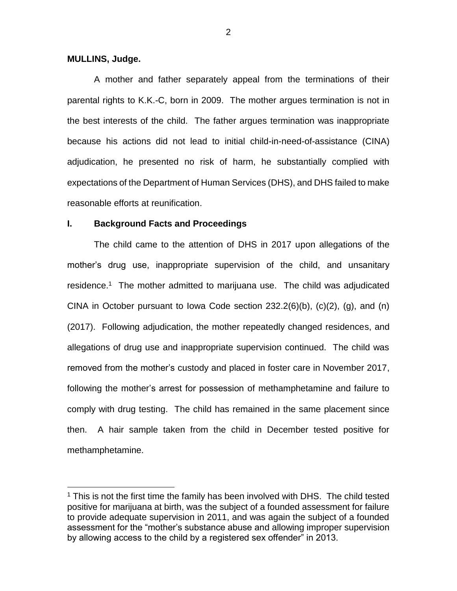### **MULLINS, Judge.**

 $\overline{a}$ 

A mother and father separately appeal from the terminations of their parental rights to K.K.-C, born in 2009. The mother argues termination is not in the best interests of the child. The father argues termination was inappropriate because his actions did not lead to initial child-in-need-of-assistance (CINA) adjudication, he presented no risk of harm, he substantially complied with expectations of the Department of Human Services (DHS), and DHS failed to make reasonable efforts at reunification.

#### **I. Background Facts and Proceedings**

The child came to the attention of DHS in 2017 upon allegations of the mother's drug use, inappropriate supervision of the child, and unsanitary residence.<sup>1</sup> The mother admitted to marijuana use. The child was adjudicated CINA in October pursuant to Iowa Code section  $232.2(6)(b)$ ,  $(c)(2)$ ,  $(g)$ , and  $(h)$ (2017). Following adjudication, the mother repeatedly changed residences, and allegations of drug use and inappropriate supervision continued. The child was removed from the mother's custody and placed in foster care in November 2017, following the mother's arrest for possession of methamphetamine and failure to comply with drug testing. The child has remained in the same placement since then. A hair sample taken from the child in December tested positive for methamphetamine.

<sup>&</sup>lt;sup>1</sup> This is not the first time the family has been involved with DHS. The child tested positive for marijuana at birth, was the subject of a founded assessment for failure to provide adequate supervision in 2011, and was again the subject of a founded assessment for the "mother's substance abuse and allowing improper supervision by allowing access to the child by a registered sex offender" in 2013.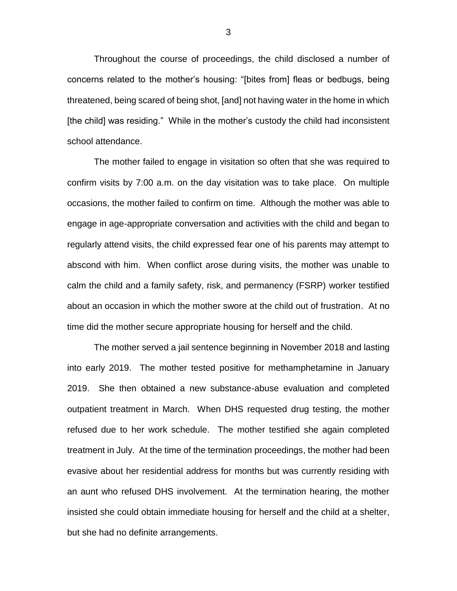Throughout the course of proceedings, the child disclosed a number of concerns related to the mother's housing: "[bites from] fleas or bedbugs, being threatened, being scared of being shot, [and] not having water in the home in which [the child] was residing." While in the mother's custody the child had inconsistent school attendance.

The mother failed to engage in visitation so often that she was required to confirm visits by 7:00 a.m. on the day visitation was to take place. On multiple occasions, the mother failed to confirm on time. Although the mother was able to engage in age-appropriate conversation and activities with the child and began to regularly attend visits, the child expressed fear one of his parents may attempt to abscond with him. When conflict arose during visits, the mother was unable to calm the child and a family safety, risk, and permanency (FSRP) worker testified about an occasion in which the mother swore at the child out of frustration. At no time did the mother secure appropriate housing for herself and the child.

The mother served a jail sentence beginning in November 2018 and lasting into early 2019. The mother tested positive for methamphetamine in January 2019. She then obtained a new substance-abuse evaluation and completed outpatient treatment in March. When DHS requested drug testing, the mother refused due to her work schedule. The mother testified she again completed treatment in July. At the time of the termination proceedings, the mother had been evasive about her residential address for months but was currently residing with an aunt who refused DHS involvement. At the termination hearing, the mother insisted she could obtain immediate housing for herself and the child at a shelter, but she had no definite arrangements.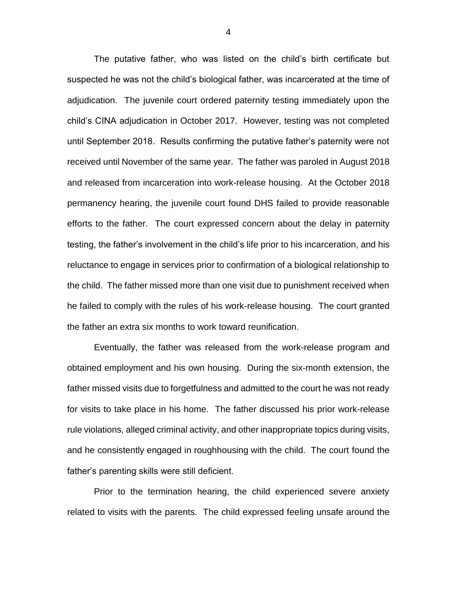The putative father, who was listed on the child's birth certificate but suspected he was not the child's biological father, was incarcerated at the time of adjudication. The juvenile court ordered paternity testing immediately upon the child's CINA adjudication in October 2017. However, testing was not completed until September 2018. Results confirming the putative father's paternity were not received until November of the same year. The father was paroled in August 2018 and released from incarceration into work-release housing. At the October 2018 permanency hearing, the juvenile court found DHS failed to provide reasonable efforts to the father. The court expressed concern about the delay in paternity testing, the father's involvement in the child's life prior to his incarceration, and his reluctance to engage in services prior to confirmation of a biological relationship to the child. The father missed more than one visit due to punishment received when he failed to comply with the rules of his work-release housing. The court granted the father an extra six months to work toward reunification.

Eventually, the father was released from the work-release program and obtained employment and his own housing. During the six-month extension, the father missed visits due to forgetfulness and admitted to the court he was not ready for visits to take place in his home. The father discussed his prior work-release rule violations, alleged criminal activity, and other inappropriate topics during visits, and he consistently engaged in roughhousing with the child. The court found the father's parenting skills were still deficient.

Prior to the termination hearing, the child experienced severe anxiety related to visits with the parents. The child expressed feeling unsafe around the

4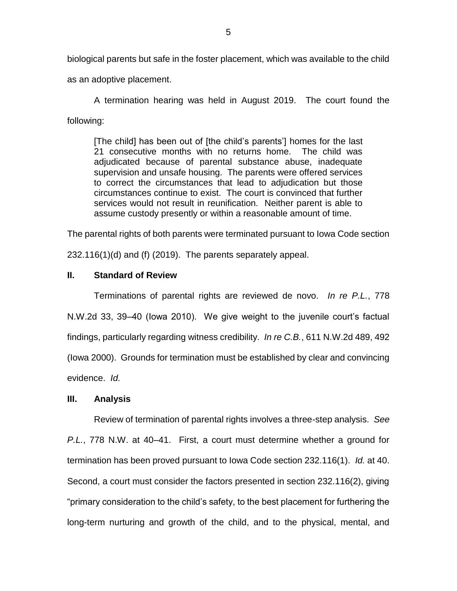biological parents but safe in the foster placement, which was available to the child

as an adoptive placement.

A termination hearing was held in August 2019. The court found the following:

[The child] has been out of [the child's parents'] homes for the last 21 consecutive months with no returns home. The child was adjudicated because of parental substance abuse, inadequate supervision and unsafe housing. The parents were offered services to correct the circumstances that lead to adjudication but those circumstances continue to exist. The court is convinced that further services would not result in reunification. Neither parent is able to assume custody presently or within a reasonable amount of time.

The parental rights of both parents were terminated pursuant to Iowa Code section

232.116(1)(d) and (f) (2019). The parents separately appeal.

# **II. Standard of Review**

Terminations of parental rights are reviewed de novo. *In re P.L.*, 778 N.W.2d 33, 39–40 (Iowa 2010). We give weight to the juvenile court's factual findings, particularly regarding witness credibility. *In re C.B.*, 611 N.W.2d 489, 492 (Iowa 2000). Grounds for termination must be established by clear and convincing evidence. *Id.*

## **III. Analysis**

Review of termination of parental rights involves a three-step analysis. *See P.L.*, 778 N.W. at 40–41. First, a court must determine whether a ground for termination has been proved pursuant to Iowa Code section 232.116(1). *Id.* at 40. Second, a court must consider the factors presented in section 232.116(2), giving "primary consideration to the child's safety, to the best placement for furthering the long-term nurturing and growth of the child, and to the physical, mental, and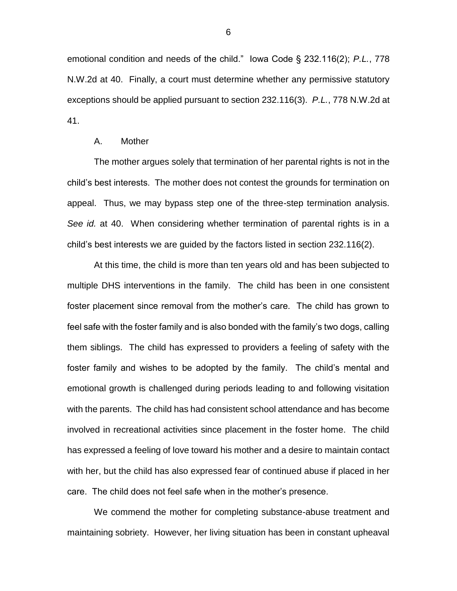emotional condition and needs of the child." Iowa Code § 232.116(2); *P.L.*, 778 N.W.2d at 40. Finally, a court must determine whether any permissive statutory exceptions should be applied pursuant to section 232.116(3). *P.L.*, 778 N.W.2d at 41.

#### A. Mother

The mother argues solely that termination of her parental rights is not in the child's best interests. The mother does not contest the grounds for termination on appeal. Thus, we may bypass step one of the three-step termination analysis. *See id.* at 40. When considering whether termination of parental rights is in a child's best interests we are guided by the factors listed in section 232.116(2).

At this time, the child is more than ten years old and has been subjected to multiple DHS interventions in the family. The child has been in one consistent foster placement since removal from the mother's care. The child has grown to feel safe with the foster family and is also bonded with the family's two dogs, calling them siblings. The child has expressed to providers a feeling of safety with the foster family and wishes to be adopted by the family. The child's mental and emotional growth is challenged during periods leading to and following visitation with the parents. The child has had consistent school attendance and has become involved in recreational activities since placement in the foster home. The child has expressed a feeling of love toward his mother and a desire to maintain contact with her, but the child has also expressed fear of continued abuse if placed in her care. The child does not feel safe when in the mother's presence.

We commend the mother for completing substance-abuse treatment and maintaining sobriety. However, her living situation has been in constant upheaval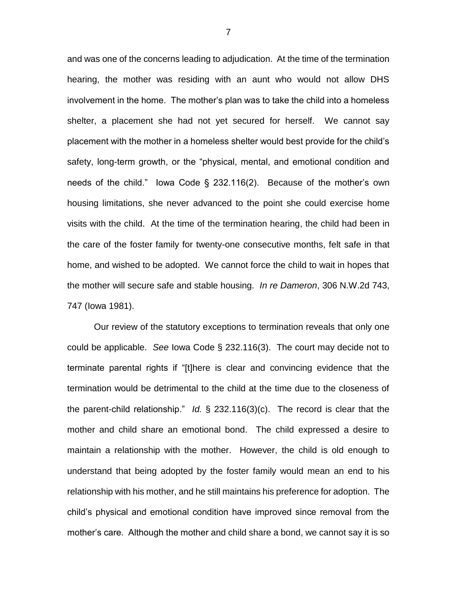and was one of the concerns leading to adjudication. At the time of the termination hearing, the mother was residing with an aunt who would not allow DHS involvement in the home. The mother's plan was to take the child into a homeless shelter, a placement she had not yet secured for herself. We cannot say placement with the mother in a homeless shelter would best provide for the child's safety, long-term growth, or the "physical, mental, and emotional condition and needs of the child." Iowa Code § 232.116(2). Because of the mother's own housing limitations, she never advanced to the point she could exercise home visits with the child. At the time of the termination hearing, the child had been in the care of the foster family for twenty-one consecutive months, felt safe in that home, and wished to be adopted. We cannot force the child to wait in hopes that the mother will secure safe and stable housing. *In re Dameron*, 306 N.W.2d 743, 747 (Iowa 1981).

Our review of the statutory exceptions to termination reveals that only one could be applicable. *See* Iowa Code § 232.116(3). The court may decide not to terminate parental rights if "[t]here is clear and convincing evidence that the termination would be detrimental to the child at the time due to the closeness of the parent-child relationship." *Id.* § 232.116(3)(c). The record is clear that the mother and child share an emotional bond. The child expressed a desire to maintain a relationship with the mother. However, the child is old enough to understand that being adopted by the foster family would mean an end to his relationship with his mother, and he still maintains his preference for adoption. The child's physical and emotional condition have improved since removal from the mother's care. Although the mother and child share a bond, we cannot say it is so

7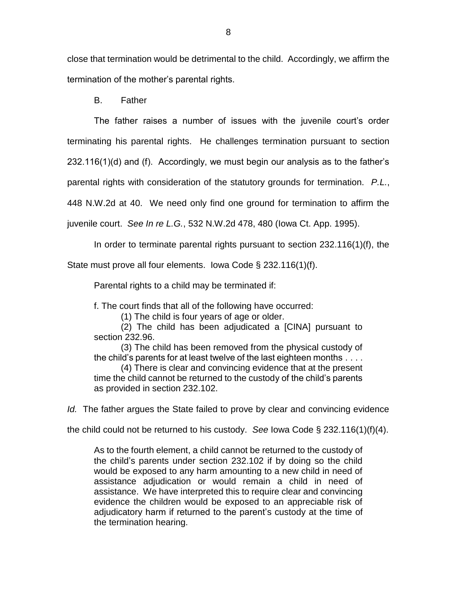close that termination would be detrimental to the child. Accordingly, we affirm the termination of the mother's parental rights.

B. Father

The father raises a number of issues with the juvenile court's order

terminating his parental rights. He challenges termination pursuant to section

232.116(1)(d) and (f). Accordingly, we must begin our analysis as to the father's

parental rights with consideration of the statutory grounds for termination. *P.L.*,

448 N.W.2d at 40. We need only find one ground for termination to affirm the

juvenile court. *See In re L.G.*, 532 N.W.2d 478, 480 (Iowa Ct. App. 1995).

In order to terminate parental rights pursuant to section 232.116(1)(f), the

State must prove all four elements. Iowa Code § 232.116(1)(f).

Parental rights to a child may be terminated if:

f. The court finds that all of the following have occurred:

(1) The child is four years of age or older.

(2) The child has been adjudicated a [CINA] pursuant to section 232.96.

(3) The child has been removed from the physical custody of the child's parents for at least twelve of the last eighteen months . . . .

(4) There is clear and convincing evidence that at the present time the child cannot be returned to the custody of the child's parents as provided in section 232.102.

*Id.* The father argues the State failed to prove by clear and convincing evidence

the child could not be returned to his custody. *See* Iowa Code § 232.116(1)(f)(4).

As to the fourth element, a child cannot be returned to the custody of the child's parents under section 232.102 if by doing so the child would be exposed to any harm amounting to a new child in need of assistance adjudication or would remain a child in need of assistance. We have interpreted this to require clear and convincing evidence the children would be exposed to an appreciable risk of adjudicatory harm if returned to the parent's custody at the time of the termination hearing.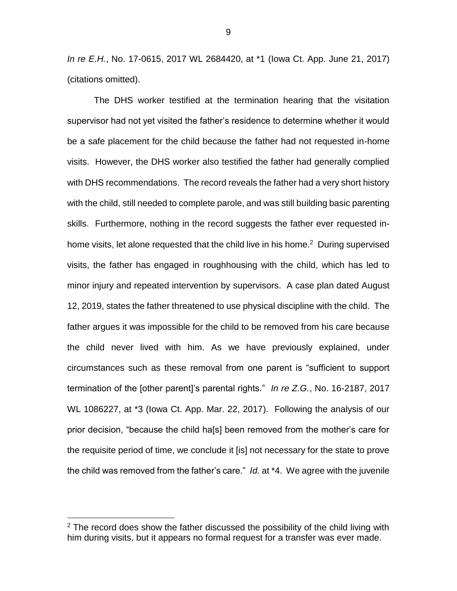*In re E.H.*, No. 17-0615, 2017 WL 2684420, at \*1 (Iowa Ct. App. June 21, 2017) (citations omitted).

The DHS worker testified at the termination hearing that the visitation supervisor had not yet visited the father's residence to determine whether it would be a safe placement for the child because the father had not requested in-home visits. However, the DHS worker also testified the father had generally complied with DHS recommendations. The record reveals the father had a very short history with the child, still needed to complete parole, and was still building basic parenting skills. Furthermore, nothing in the record suggests the father ever requested inhome visits, let alone requested that the child live in his home.<sup>2</sup> During supervised visits, the father has engaged in roughhousing with the child, which has led to minor injury and repeated intervention by supervisors. A case plan dated August 12, 2019, states the father threatened to use physical discipline with the child. The father argues it was impossible for the child to be removed from his care because the child never lived with him. As we have previously explained, under circumstances such as these removal from one parent is "sufficient to support termination of the [other parent]'s parental rights." *In re Z.G.*, No. 16-2187, 2017 WL 1086227, at \*3 (Iowa Ct. App. Mar. 22, 2017). Following the analysis of our prior decision, "because the child ha[s] been removed from the mother's care for the requisite period of time, we conclude it [is] not necessary for the state to prove the child was removed from the father's care." *Id.* at \*4. We agree with the juvenile

 $\overline{a}$ 

 $2$  The record does show the father discussed the possibility of the child living with him during visits, but it appears no formal request for a transfer was ever made.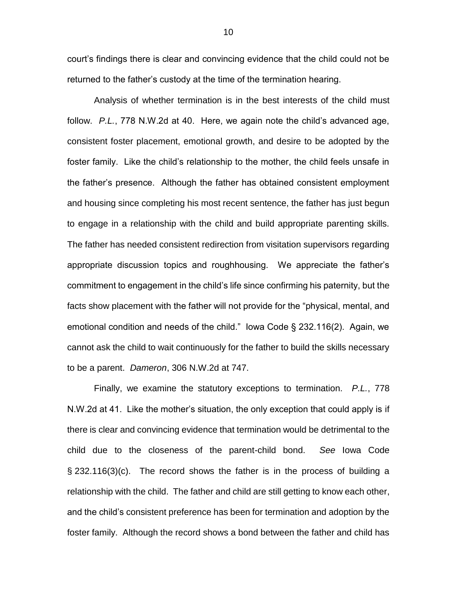court's findings there is clear and convincing evidence that the child could not be returned to the father's custody at the time of the termination hearing.

Analysis of whether termination is in the best interests of the child must follow. *P.L.*, 778 N.W.2d at 40. Here, we again note the child's advanced age, consistent foster placement, emotional growth, and desire to be adopted by the foster family. Like the child's relationship to the mother, the child feels unsafe in the father's presence. Although the father has obtained consistent employment and housing since completing his most recent sentence, the father has just begun to engage in a relationship with the child and build appropriate parenting skills. The father has needed consistent redirection from visitation supervisors regarding appropriate discussion topics and roughhousing. We appreciate the father's commitment to engagement in the child's life since confirming his paternity, but the facts show placement with the father will not provide for the "physical, mental, and emotional condition and needs of the child." Iowa Code § 232.116(2). Again, we cannot ask the child to wait continuously for the father to build the skills necessary to be a parent. *Dameron*, 306 N.W.2d at 747.

Finally, we examine the statutory exceptions to termination. *P.L.*, 778 N.W.2d at 41. Like the mother's situation, the only exception that could apply is if there is clear and convincing evidence that termination would be detrimental to the child due to the closeness of the parent-child bond. *See* Iowa Code § 232.116(3)(c). The record shows the father is in the process of building a relationship with the child. The father and child are still getting to know each other, and the child's consistent preference has been for termination and adoption by the foster family. Although the record shows a bond between the father and child has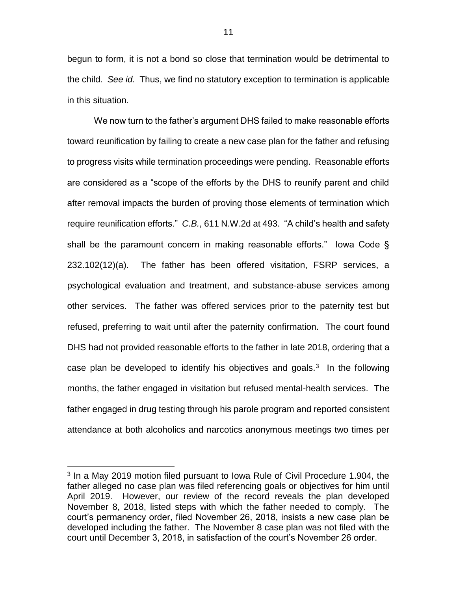begun to form, it is not a bond so close that termination would be detrimental to the child. *See id.* Thus, we find no statutory exception to termination is applicable in this situation.

We now turn to the father's argument DHS failed to make reasonable efforts toward reunification by failing to create a new case plan for the father and refusing to progress visits while termination proceedings were pending. Reasonable efforts are considered as a "scope of the efforts by the DHS to reunify parent and child after removal impacts the burden of proving those elements of termination which require reunification efforts." *C.B.*, 611 N.W.2d at 493. "A child's health and safety shall be the paramount concern in making reasonable efforts." Iowa Code § 232.102(12)(a). The father has been offered visitation, FSRP services, a psychological evaluation and treatment, and substance-abuse services among other services. The father was offered services prior to the paternity test but refused, preferring to wait until after the paternity confirmation. The court found DHS had not provided reasonable efforts to the father in late 2018, ordering that a case plan be developed to identify his objectives and goals. $3$  In the following months, the father engaged in visitation but refused mental-health services. The father engaged in drug testing through his parole program and reported consistent attendance at both alcoholics and narcotics anonymous meetings two times per

 $\overline{a}$ 

<sup>&</sup>lt;sup>3</sup> In a May 2019 motion filed pursuant to Iowa Rule of Civil Procedure 1.904, the father alleged no case plan was filed referencing goals or objectives for him until April 2019. However, our review of the record reveals the plan developed November 8, 2018, listed steps with which the father needed to comply. The court's permanency order, filed November 26, 2018, insists a new case plan be developed including the father. The November 8 case plan was not filed with the court until December 3, 2018, in satisfaction of the court's November 26 order.